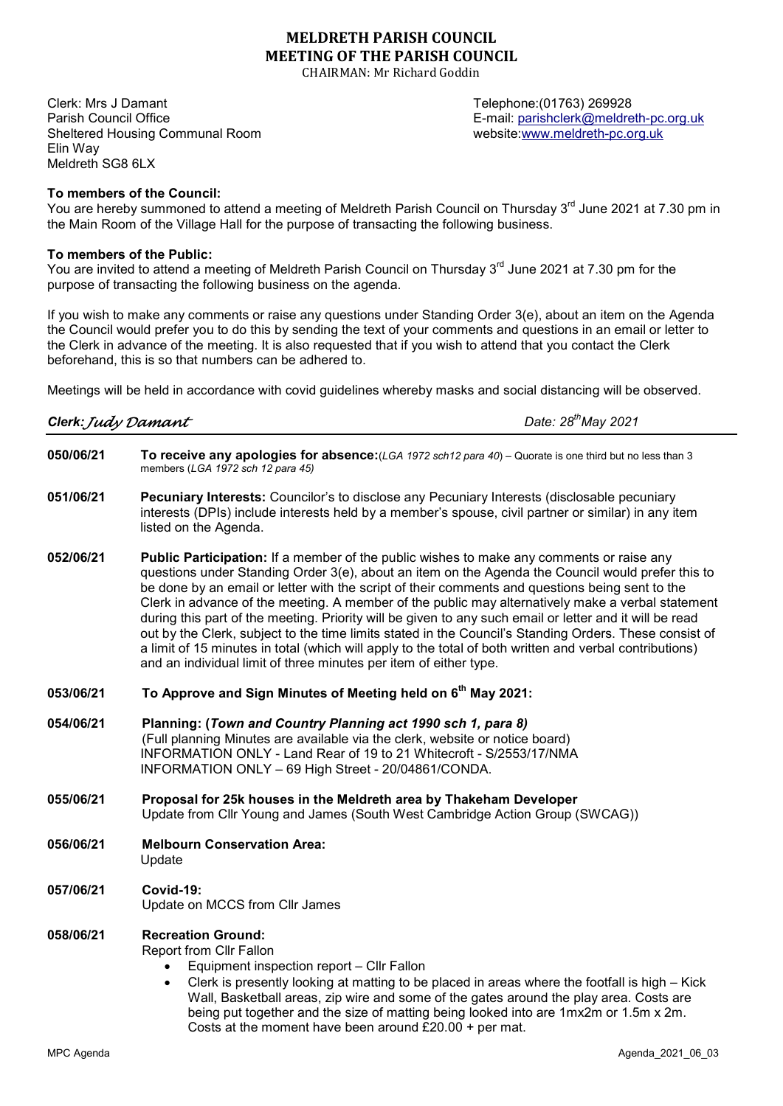## MELDRETH PARISH COUNCIL MEETING OF THE PARISH COUNCIL

CHAIRMAN: Mr Richard Goddin

Clerk: Mrs J Damant Telephone:(01763) 269928 Parish Council Office **E-mail: parishclerk@meldreth-pc.org.uk** E-mail: parishclerk@meldreth-pc.org.uk Sheltered Housing Communal Room website:www.meldreth-pc.org.uk Elin Way Meldreth SG8 6LX

To members of the Council:

You are hereby summoned to attend a meeting of Meldreth Parish Council on Thursday 3<sup>rd</sup> June 2021 at 7.30 pm in the Main Room of the Village Hall for the purpose of transacting the following business.

#### To members of the Public:

You are invited to attend a meeting of Meldreth Parish Council on Thursday 3<sup>rd</sup> June 2021 at 7.30 pm for the purpose of transacting the following business on the agenda.

If you wish to make any comments or raise any questions under Standing Order 3(e), about an item on the Agenda the Council would prefer you to do this by sending the text of your comments and questions in an email or letter to the Clerk in advance of the meeting. It is also requested that if you wish to attend that you contact the Clerk beforehand, this is so that numbers can be adhered to.

Meetings will be held in accordance with covid guidelines whereby masks and social distancing will be observed.

| Clerk: Judy Damant |  |  |  |
|--------------------|--|--|--|
|--------------------|--|--|--|

Date:  $28^{th}$ May 2021

- 050/06/21 To receive any apologies for absence: (LGA 1972 sch12 para 40) Quorate is one third but no less than 3 members (LGA 1972 sch 12 para 45)
- 051/06/21 Pecuniary Interests: Councilor's to disclose any Pecuniary Interests (disclosable pecuniary interests (DPIs) include interests held by a member's spouse, civil partner or similar) in any item listed on the Agenda.
- 052/06/21 Public Participation: If a member of the public wishes to make any comments or raise any questions under Standing Order 3(e), about an item on the Agenda the Council would prefer this to be done by an email or letter with the script of their comments and questions being sent to the Clerk in advance of the meeting. A member of the public may alternatively make a verbal statement during this part of the meeting. Priority will be given to any such email or letter and it will be read out by the Clerk, subject to the time limits stated in the Council's Standing Orders. These consist of a limit of 15 minutes in total (which will apply to the total of both written and verbal contributions) and an individual limit of three minutes per item of either type.
- 053/06/21 To Approve and Sign Minutes of Meeting held on  $6<sup>th</sup>$  May 2021:
- 054/06/21 Planning: (Town and Country Planning act 1990 sch 1, para 8) (Full planning Minutes are available via the clerk, website or notice board) INFORMATION ONLY - Land Rear of 19 to 21 Whitecroft - S/2553/17/NMA INFORMATION ONLY – 69 High Street - 20/04861/CONDA.
- 055/06/21 Proposal for 25k houses in the Meldreth area by Thakeham Developer Update from Cllr Young and James (South West Cambridge Action Group (SWCAG))
- 056/06/21 Melbourn Conservation Area: Update
- 057/06/21 Covid-19: Update on MCCS from Cllr James

#### 058/06/21 Recreation Ground:

Report from Cllr Fallon

- Equipment inspection report Cllr Fallon
- Clerk is presently looking at matting to be placed in areas where the footfall is high Kick Wall, Basketball areas, zip wire and some of the gates around the play area. Costs are being put together and the size of matting being looked into are 1mx2m or 1.5m x 2m. Costs at the moment have been around £20.00 + per mat.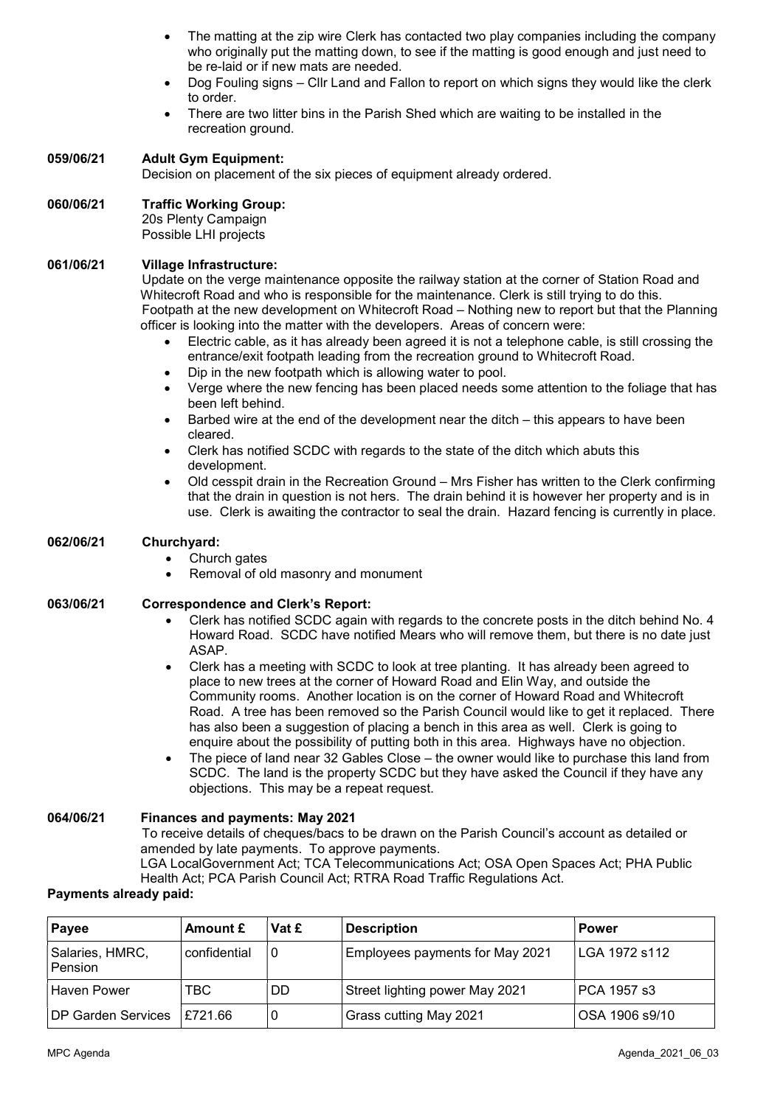- The matting at the zip wire Clerk has contacted two play companies including the company who originally put the matting down, to see if the matting is good enough and just need to be re-laid or if new mats are needed.
- Dog Fouling signs Cllr Land and Fallon to report on which signs they would like the clerk to order.
- There are two litter bins in the Parish Shed which are waiting to be installed in the recreation ground.

# 059/06/21 Adult Gym Equipment:

Decision on placement of the six pieces of equipment already ordered.

## 060/06/21 Traffic Working Group:

 20s Plenty Campaign Possible LHI projects

#### 061/06/21 Village Infrastructure:

 Update on the verge maintenance opposite the railway station at the corner of Station Road and Whitecroft Road and who is responsible for the maintenance. Clerk is still trying to do this. Footpath at the new development on Whitecroft Road – Nothing new to report but that the Planning officer is looking into the matter with the developers. Areas of concern were:

- Electric cable, as it has already been agreed it is not a telephone cable, is still crossing the entrance/exit footpath leading from the recreation ground to Whitecroft Road.
- Dip in the new footpath which is allowing water to pool.
- Verge where the new fencing has been placed needs some attention to the foliage that has been left behind.
- Barbed wire at the end of the development near the ditch this appears to have been cleared.
- Clerk has notified SCDC with regards to the state of the ditch which abuts this development.
- Old cesspit drain in the Recreation Ground Mrs Fisher has written to the Clerk confirming that the drain in question is not hers. The drain behind it is however her property and is in use. Clerk is awaiting the contractor to seal the drain. Hazard fencing is currently in place.

#### 062/06/21 Churchyard:

- Church gates
- Removal of old masonry and monument

#### 063/06/21 Correspondence and Clerk's Report:

- Clerk has notified SCDC again with regards to the concrete posts in the ditch behind No. 4 Howard Road. SCDC have notified Mears who will remove them, but there is no date just ASAP.
- Clerk has a meeting with SCDC to look at tree planting. It has already been agreed to place to new trees at the corner of Howard Road and Elin Way, and outside the Community rooms. Another location is on the corner of Howard Road and Whitecroft Road. A tree has been removed so the Parish Council would like to get it replaced. There has also been a suggestion of placing a bench in this area as well. Clerk is going to enquire about the possibility of putting both in this area. Highways have no objection.
- The piece of land near 32 Gables Close the owner would like to purchase this land from SCDC. The land is the property SCDC but they have asked the Council if they have any objections. This may be a repeat request.

### 064/06/21 Finances and payments: May 2021

To receive details of cheques/bacs to be drawn on the Parish Council's account as detailed or amended by late payments. To approve payments.

LGA LocalGovernment Act; TCA Telecommunications Act; OSA Open Spaces Act; PHA Public Health Act; PCA Parish Council Act; RTRA Road Traffic Regulations Act.

#### Payments already paid:

| Payee                        | Amount £     | Vat £ | <b>Description</b>              | <b>Power</b>   |
|------------------------------|--------------|-------|---------------------------------|----------------|
| Salaries, HMRC,<br>Pension   | confidential | 0     | Employees payments for May 2021 | LGA 1972 s112  |
| Haven Power                  | <b>TBC</b>   | DD    | Street lighting power May 2021  | PCA 1957 s3    |
| DP Garden Services   £721.66 |              |       | Grass cutting May 2021          | OSA 1906 s9/10 |